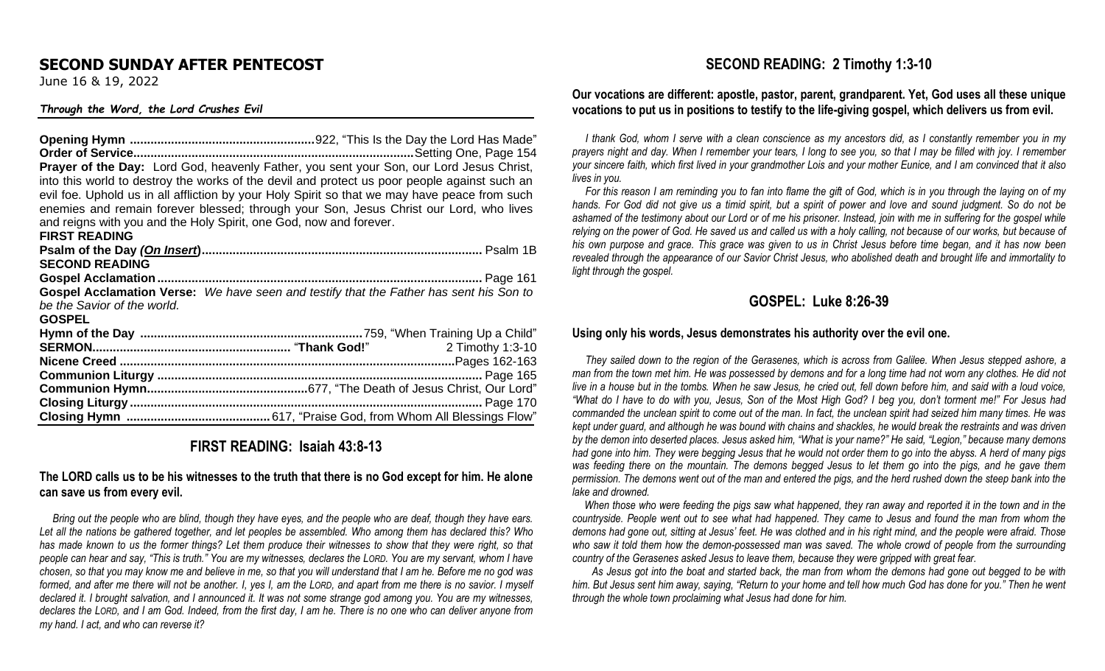## **SECOND SUNDAY AFTER PENTECOST**

June 16 & 19, 2022

#### *Through the Word, the Lord Crushes Evil*

**Opening Hymn ......................................................**922, "This Is the Day the Lord Has Made" **Order of Service..................................................................................**Setting One, Page 154 **Prayer of the Day:** Lord God, heavenly Father, you sent your Son, our Lord Jesus Christ, into this world to destroy the works of the devil and protect us poor people against such an evil foe. Uphold us in all affliction by your Holy Spirit so that we may have peace from such enemies and remain forever blessed; through your Son, Jesus Christ our Lord, who lives and reigns with you and the Holy Spirit, one God, now and forever. **FIRST READING Psalm of the Day** *(On Insert***)..................................................................................** Psalm 1B **SECOND READING Gospel Acclamation...............................................................................................** Page 161 **Gospel Acclamation Verse:** *We have seen and testify that the Father has sent his Son to be the Savior of the world.* **GOSPEL Hymn of the Day .................................................................**759, "When Training Up a Child" **SERMON..........................................................** "**Thank God!**" 2 Timothy 1:3-10 **Nicene Creed ..................................................................................................**Pages 162-163 **Communion Liturgy ...............................................................................................** Page 165 **Communion Hymn...............................................**677, "The Death of Jesus Christ, Our Lord" **Closing Liturgy .......................................................................................................** Page 170 **Closing Hymn ..........................................** 617, "Praise God, from Whom All Blessings Flow"

## **FIRST READING: Isaiah 43:8-13**

### **The LORD calls us to be his witnesses to the truth that there is no God except for him. He alone can save us from every evil.**

 *Bring out the people who are blind, though they have eyes, and the people who are deaf, though they have ears. Let all the nations be gathered together, and let peoples be assembled. Who among them has declared this? Who has made known to us the former things? Let them produce their witnesses to show that they were right, so that people can hear and say, "This is truth." You are my witnesses, declares the LORD. You are my servant, whom I have chosen, so that you may know me and believe in me, so that you will understand that I am he. Before me no god was formed, and after me there will not be another. I, yes I, am the LORD, and apart from me there is no savior. I myself declared it. I brought salvation, and I announced it. It was not some strange god among you. You are my witnesses, declares the LORD, and I am God. Indeed, from the first day, I am he. There is no one who can deliver anyone from my hand. I act, and who can reverse it?* 

### **SECOND READING: 2 Timothy 1:3-10**

#### **Our vocations are different: apostle, pastor, parent, grandparent. Yet, God uses all these unique vocations to put us in positions to testify to the life-giving gospel, which delivers us from evil.**

 *I thank God, whom I serve with a clean conscience as my ancestors did, as I constantly remember you in my prayers night and day. When I remember your tears, I long to see you, so that I may be filled with joy. I remember your sincere faith, which first lived in your grandmother Lois and your mother Eunice, and I am convinced that it also lives in you.* 

 *For this reason I am reminding you to fan into flame the gift of God, which is in you through the laying on of my hands. For God did not give us a timid spirit, but a spirit of power and love and sound judgment. So do not be*  ashamed of the testimony about our Lord or of me his prisoner. Instead, join with me in suffering for the gospel while *relying on the power of God. He saved us and called us with a holy calling, not because of our works, but because of his own purpose and grace. This grace was given to us in Christ Jesus before time began, and it has now been revealed through the appearance of our Savior Christ Jesus, who abolished death and brought life and immortality to light through the gospel.* 

## **GOSPEL: Luke 8:26-39**

#### **Using only his words, Jesus demonstrates his authority over the evil one.**

 *They sailed down to the region of the Gerasenes, which is across from Galilee. When Jesus stepped ashore, a man from the town met him. He was possessed by demons and for a long time had not worn any clothes. He did not* live in a house but in the tombs. When he saw Jesus, he cried out, fell down before him, and said with a loud voice, *"What do I have to do with you, Jesus, Son of the Most High God? I beg you, don't torment me!" For Jesus had commanded the unclean spirit to come out of the man. In fact, the unclean spirit had seized him many times. He was kept under guard, and although he was bound with chains and shackles, he would break the restraints and was driven by the demon into deserted places. Jesus asked him, "What is your name?" He said, "Legion," because many demons had gone into him. They were begging Jesus that he would not order them to go into the abyss. A herd of many pigs was feeding there on the mountain. The demons begged Jesus to let them go into the pigs, and he gave them permission. The demons went out of the man and entered the pigs, and the herd rushed down the steep bank into the lake and drowned.* 

 *When those who were feeding the pigs saw what happened, they ran away and reported it in the town and in the countryside. People went out to see what had happened. They came to Jesus and found the man from whom the demons had gone out, sitting at Jesus' feet. He was clothed and in his right mind, and the people were afraid. Those who saw it told them how the demon-possessed man was saved. The whole crowd of people from the surrounding country of the Gerasenes asked Jesus to leave them, because they were gripped with great fear.* 

*As Jesus got into the boat and started back, the man from whom the demons had gone out begged to be with him. But Jesus sent him away, saying, "Return to your home and tell how much God has done for you." Then he went through the whole town proclaiming what Jesus had done for him.*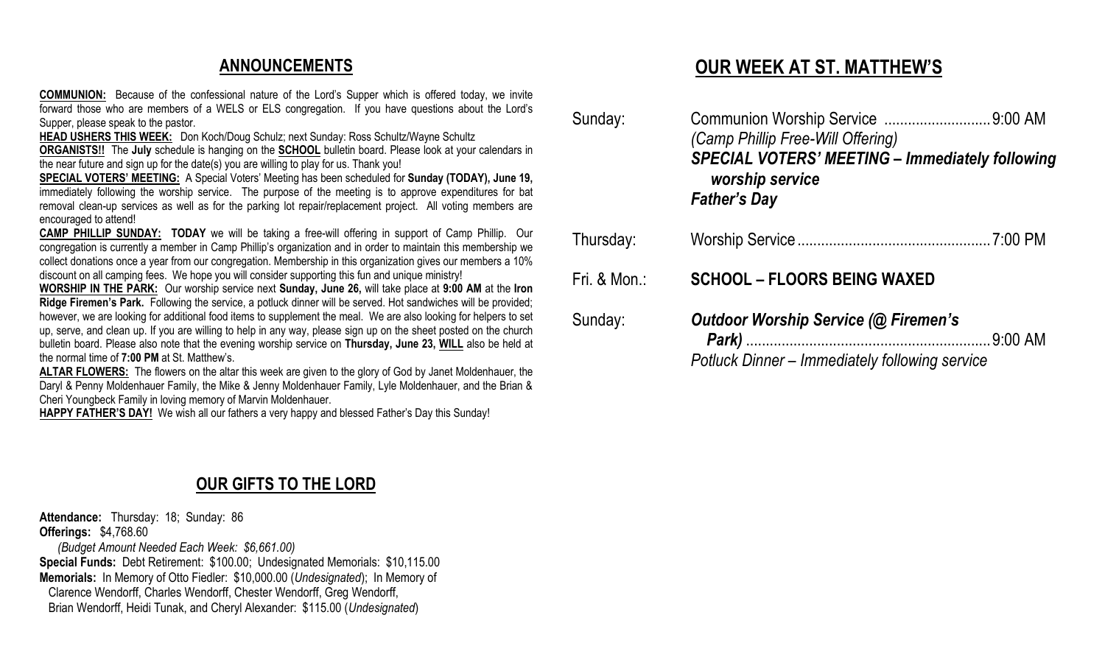## **ANNOUNCEMENTS**

**COMMUNION:** Because of the confessional nature of the Lord's Supper which is offered today, we invite forward those who are members of a WELS or ELS congregation. If you have questions about the Lord's Supper, please speak to the pastor.

**HEAD USHERS THIS WEEK:** Don Koch/Doug Schulz; next Sunday: Ross Schultz/Wayne Schultz

**ORGANISTS!!** The **July** schedule is hanging on the **SCHOOL** bulletin board. Please look at your calendars in the near future and sign up for the date(s) you are willing to play for us. Thank you!

**SPECIAL VOTERS' MEETING:** A Special Voters' Meeting has been scheduled for **Sunday (TODAY), June 19,** immediately following the worship service. The purpose of the meeting is to approve expenditures for bat removal clean-up services as well as for the parking lot repair/replacement project. All voting members are encouraged to attend!

**CAMP PHILLIP SUNDAY: TODAY** we will be taking a free-will offering in support of Camp Phillip. Our congregation is currently a member in Camp Phillip's organization and in order to maintain this membership we collect donations once a year from our congregation. Membership in this organization gives our members a 10% discount on all camping fees. We hope you will consider supporting this fun and unique ministry!

**WORSHIP IN THE PARK:** Our worship service next **Sunday, June 26,** will take place at **9:00 AM** at the **Iron Ridge Firemen's Park.** Following the service, a potluck dinner will be served. Hot sandwiches will be provided; however, we are looking for additional food items to supplement the meal. We are also looking for helpers to set up, serve, and clean up. If you are willing to help in any way, please sign up on the sheet posted on the church bulletin board. Please also note that the evening worship service on **Thursday, June 23, WILL** also be held at the normal time of **7:00 PM** at St. Matthew's.

**ALTAR FLOWERS:** The flowers on the altar this week are given to the glory of God by Janet Moldenhauer, the Daryl & Penny Moldenhauer Family, the Mike & Jenny Moldenhauer Family, Lyle Moldenhauer, and the Brian & Cheri Youngbeck Family in loving memory of Marvin Moldenhauer.

**HAPPY FATHER'S DAY!** We wish all our fathers a very happy and blessed Father's Day this Sunday!

## **OUR GIFTS TO THE LORD**

**Attendance:** Thursday: 18; Sunday: 86 **Offerings:** \$4,768.60  *(Budget Amount Needed Each Week: \$6,661.00)* **Special Funds:** Debt Retirement: \$100.00; Undesignated Memorials: \$10,115.00 **Memorials:** In Memory of Otto Fiedler: \$10,000.00 (*Undesignated*); In Memory of Clarence Wendorff, Charles Wendorff, Chester Wendorff, Greg Wendorff, Brian Wendorff, Heidi Tunak, and Cheryl Alexander: \$115.00 (*Undesignated*)

# **OUR WEEK AT ST. MATTHEW'S**

| Sunday:      | (Camp Phillip Free-Will Offering)<br><b>SPECIAL VOTERS' MEETING - Immediately following</b><br>worship service<br><b>Father's Day</b> |  |
|--------------|---------------------------------------------------------------------------------------------------------------------------------------|--|
| Thursday:    |                                                                                                                                       |  |
| Fri. & Mon.: | <b>SCHOOL - FLOORS BEING WAXED</b>                                                                                                    |  |
| Sunday:      | <b>Outdoor Worship Service (@ Firemen's</b><br>9:00 AM<br>Park)<br>Dotluck Dinner Immodiately following convice                       |  |

*Potluck Dinner – Immediately following service*